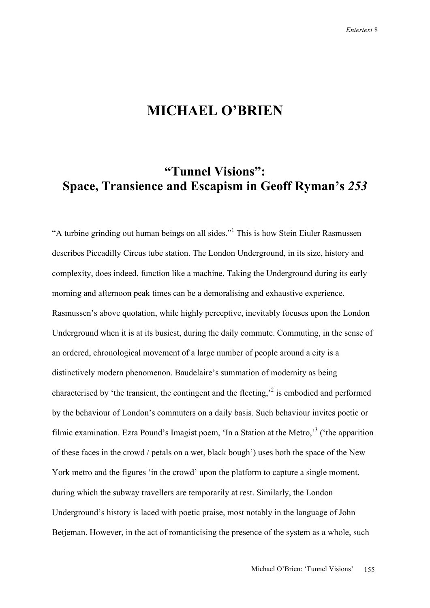## **MICHAEL O'BRIEN**

## **"Tunnel Visions": Space, Transience and Escapism in Geoff Ryman's** *253*

"A turbine grinding out human beings on all sides."<sup>1</sup> This is how Stein Eiuler Rasmussen describes Piccadilly Circus tube station. The London Underground, in its size, history and complexity, does indeed, function like a machine. Taking the Underground during its early morning and afternoon peak times can be a demoralising and exhaustive experience. Rasmussen's above quotation, while highly perceptive, inevitably focuses upon the London Underground when it is at its busiest, during the daily commute. Commuting, in the sense of an ordered, chronological movement of a large number of people around a city is a distinctively modern phenomenon. Baudelaire's summation of modernity as being characterised by 'the transient, the contingent and the fleeting, $\lambda^2$  is embodied and performed by the behaviour of London's commuters on a daily basis. Such behaviour invites poetic or filmic examination. Ezra Pound's Imagist poem, 'In a Station at the Metro,'<sup>3</sup> ('the apparition of these faces in the crowd / petals on a wet, black bough') uses both the space of the New York metro and the figures 'in the crowd' upon the platform to capture a single moment, during which the subway travellers are temporarily at rest. Similarly, the London Underground's history is laced with poetic praise, most notably in the language of John Betjeman. However, in the act of romanticising the presence of the system as a whole, such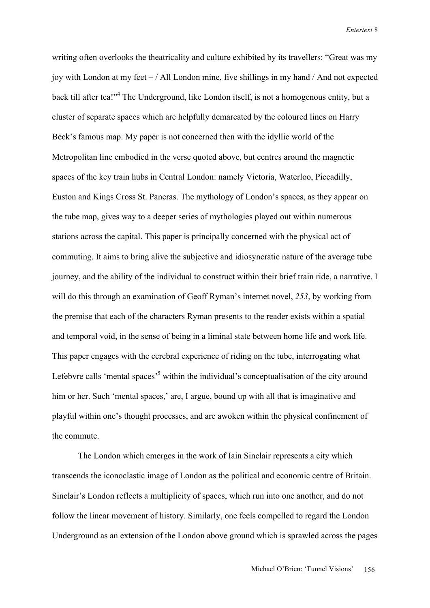writing often overlooks the theatricality and culture exhibited by its travellers: "Great was my joy with London at my feet  $-$  / All London mine, five shillings in my hand  $/$  And not expected back till after tea!"<sup>4</sup> The Underground, like London itself, is not a homogenous entity, but a cluster of separate spaces which are helpfully demarcated by the coloured lines on Harry Beck's famous map. My paper is not concerned then with the idyllic world of the Metropolitan line embodied in the verse quoted above, but centres around the magnetic spaces of the key train hubs in Central London: namely Victoria, Waterloo, Piccadilly, Euston and Kings Cross St. Pancras. The mythology of London's spaces, as they appear on the tube map, gives way to a deeper series of mythologies played out within numerous stations across the capital. This paper is principally concerned with the physical act of commuting. It aims to bring alive the subjective and idiosyncratic nature of the average tube journey, and the ability of the individual to construct within their brief train ride, a narrative. I will do this through an examination of Geoff Ryman's internet novel, *253*, by working from the premise that each of the characters Ryman presents to the reader exists within a spatial and temporal void, in the sense of being in a liminal state between home life and work life. This paper engages with the cerebral experience of riding on the tube, interrogating what Lefebvre calls 'mental spaces'<sup>5</sup> within the individual's conceptualisation of the city around him or her. Such 'mental spaces,' are, I argue, bound up with all that is imaginative and playful within one's thought processes, and are awoken within the physical confinement of the commute.

The London which emerges in the work of Iain Sinclair represents a city which transcends the iconoclastic image of London as the political and economic centre of Britain. Sinclair's London reflects a multiplicity of spaces, which run into one another, and do not follow the linear movement of history. Similarly, one feels compelled to regard the London Underground as an extension of the London above ground which is sprawled across the pages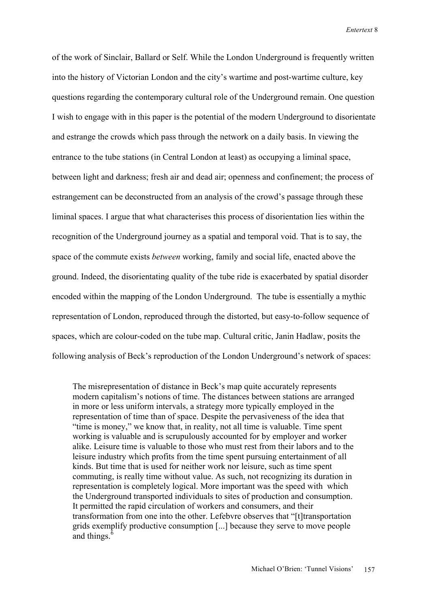of the work of Sinclair, Ballard or Self. While the London Underground is frequently written into the history of Victorian London and the city's wartime and post-wartime culture, key questions regarding the contemporary cultural role of the Underground remain. One question I wish to engage with in this paper is the potential of the modern Underground to disorientate and estrange the crowds which pass through the network on a daily basis. In viewing the entrance to the tube stations (in Central London at least) as occupying a liminal space, between light and darkness; fresh air and dead air; openness and confinement; the process of estrangement can be deconstructed from an analysis of the crowd's passage through these liminal spaces. I argue that what characterises this process of disorientation lies within the recognition of the Underground journey as a spatial and temporal void. That is to say, the space of the commute exists *between* working, family and social life, enacted above the ground. Indeed, the disorientating quality of the tube ride is exacerbated by spatial disorder encoded within the mapping of the London Underground. The tube is essentially a mythic representation of London, reproduced through the distorted, but easy-to-follow sequence of spaces, which are colour-coded on the tube map. Cultural critic, Janin Hadlaw, posits the following analysis of Beck's reproduction of the London Underground's network of spaces:

The misrepresentation of distance in Beck's map quite accurately represents modern capitalism's notions of time. The distances between stations are arranged in more or less uniform intervals, a strategy more typically employed in the representation of time than of space. Despite the pervasiveness of the idea that "time is money," we know that, in reality, not all time is valuable. Time spent working is valuable and is scrupulously accounted for by employer and worker alike. Leisure time is valuable to those who must rest from their labors and to the leisure industry which profits from the time spent pursuing entertainment of all kinds. But time that is used for neither work nor leisure, such as time spent commuting, is really time without value. As such, not recognizing its duration in representation is completely logical. More important was the speed with which the Underground transported individuals to sites of production and consumption. It permitted the rapid circulation of workers and consumers, and their transformation from one into the other. Lefebvre observes that "[t]transportation grids exemplify productive consumption [...] because they serve to move people and things.<sup>6</sup>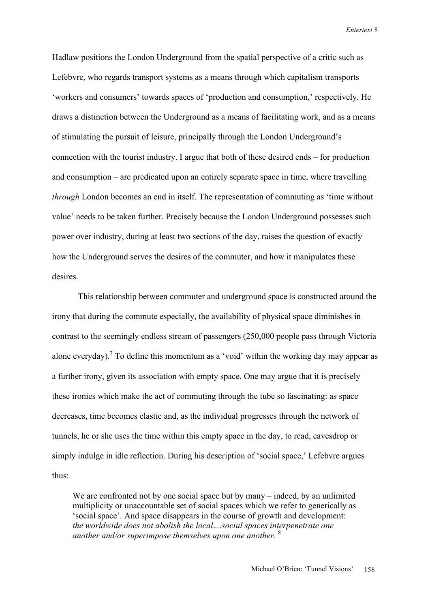Hadlaw positions the London Underground from the spatial perspective of a critic such as Lefebvre, who regards transport systems as a means through which capitalism transports 'workers and consumers' towards spaces of 'production and consumption,' respectively. He draws a distinction between the Underground as a means of facilitating work, and as a means of stimulating the pursuit of leisure, principally through the London Underground's connection with the tourist industry. I argue that both of these desired ends – for production and consumption – are predicated upon an entirely separate space in time, where travelling *through* London becomes an end in itself. The representation of commuting as 'time without value' needs to be taken further. Precisely because the London Underground possesses such power over industry, during at least two sections of the day, raises the question of exactly how the Underground serves the desires of the commuter, and how it manipulates these desires.

This relationship between commuter and underground space is constructed around the irony that during the commute especially, the availability of physical space diminishes in contrast to the seemingly endless stream of passengers (250,000 people pass through Victoria alone everyday).<sup>7</sup> To define this momentum as a 'void' within the working day may appear as a further irony, given its association with empty space. One may argue that it is precisely these ironies which make the act of commuting through the tube so fascinating: as space decreases, time becomes elastic and, as the individual progresses through the network of tunnels, he or she uses the time within this empty space in the day, to read, eavesdrop or simply indulge in idle reflection. During his description of 'social space,' Lefebvre argues thus:

We are confronted not by one social space but by many – indeed, by an unlimited multiplicity or unaccountable set of social spaces which we refer to generically as 'social space'. And space disappears in the course of growth and development: *the worldwide does not abolish the local*.*...social spaces interpenetrate one another and/or superimpose themselves upon one another*. <sup>8</sup>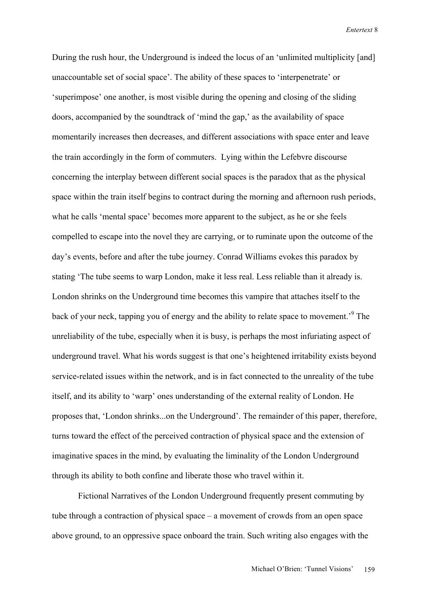During the rush hour, the Underground is indeed the locus of an 'unlimited multiplicity [and] unaccountable set of social space'. The ability of these spaces to 'interpenetrate' or 'superimpose' one another, is most visible during the opening and closing of the sliding doors, accompanied by the soundtrack of 'mind the gap,' as the availability of space momentarily increases then decreases, and different associations with space enter and leave the train accordingly in the form of commuters. Lying within the Lefebvre discourse concerning the interplay between different social spaces is the paradox that as the physical space within the train itself begins to contract during the morning and afternoon rush periods, what he calls 'mental space' becomes more apparent to the subject, as he or she feels compelled to escape into the novel they are carrying, or to ruminate upon the outcome of the day's events, before and after the tube journey. Conrad Williams evokes this paradox by stating 'The tube seems to warp London, make it less real. Less reliable than it already is. London shrinks on the Underground time becomes this vampire that attaches itself to the back of your neck, tapping you of energy and the ability to relate space to movement.'9 The unreliability of the tube, especially when it is busy, is perhaps the most infuriating aspect of underground travel. What his words suggest is that one's heightened irritability exists beyond service-related issues within the network, and is in fact connected to the unreality of the tube itself, and its ability to 'warp' ones understanding of the external reality of London. He proposes that, 'London shrinks...on the Underground'. The remainder of this paper, therefore, turns toward the effect of the perceived contraction of physical space and the extension of imaginative spaces in the mind, by evaluating the liminality of the London Underground through its ability to both confine and liberate those who travel within it.

Fictional Narratives of the London Underground frequently present commuting by tube through a contraction of physical space – a movement of crowds from an open space above ground, to an oppressive space onboard the train. Such writing also engages with the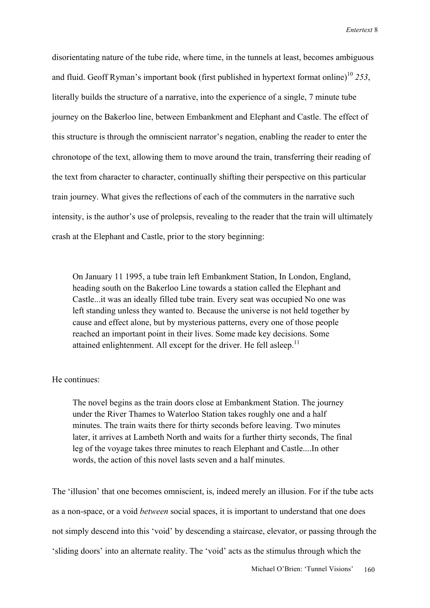disorientating nature of the tube ride, where time, in the tunnels at least, becomes ambiguous and fluid. Geoff Ryman's important book (first published in hypertext format online)<sup>10</sup> 253, literally builds the structure of a narrative, into the experience of a single, 7 minute tube journey on the Bakerloo line, between Embankment and Elephant and Castle. The effect of this structure is through the omniscient narrator's negation, enabling the reader to enter the chronotope of the text, allowing them to move around the train, transferring their reading of the text from character to character, continually shifting their perspective on this particular train journey. What gives the reflections of each of the commuters in the narrative such intensity, is the author's use of prolepsis, revealing to the reader that the train will ultimately crash at the Elephant and Castle, prior to the story beginning:

On January 11 1995, a tube train left Embankment Station, In London, England, heading south on the Bakerloo Line towards a station called the Elephant and Castle...it was an ideally filled tube train. Every seat was occupied No one was left standing unless they wanted to. Because the universe is not held together by cause and effect alone, but by mysterious patterns, every one of those people reached an important point in their lives. Some made key decisions. Some attained enlightenment. All except for the driver. He fell asleep.<sup>11</sup>

## He continues:

The novel begins as the train doors close at Embankment Station. The journey under the River Thames to Waterloo Station takes roughly one and a half minutes. The train waits there for thirty seconds before leaving. Two minutes later, it arrives at Lambeth North and waits for a further thirty seconds, The final leg of the voyage takes three minutes to reach Elephant and Castle....In other words, the action of this novel lasts seven and a half minutes.

The 'illusion' that one becomes omniscient, is, indeed merely an illusion. For if the tube acts as a non-space, or a void *between* social spaces, it is important to understand that one does not simply descend into this 'void' by descending a staircase, elevator, or passing through the 'sliding doors' into an alternate reality. The 'void' acts as the stimulus through which the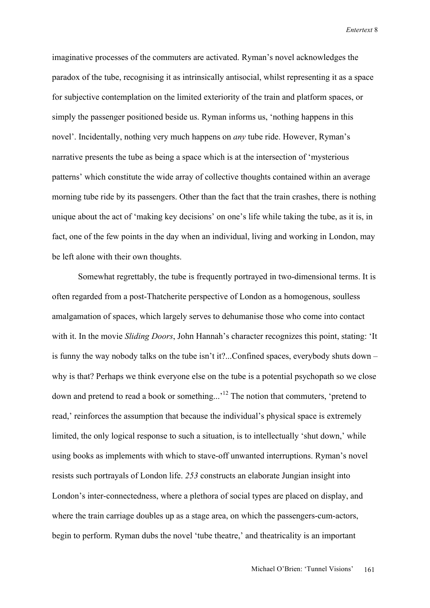imaginative processes of the commuters are activated. Ryman's novel acknowledges the paradox of the tube, recognising it as intrinsically antisocial, whilst representing it as a space for subjective contemplation on the limited exteriority of the train and platform spaces, or simply the passenger positioned beside us. Ryman informs us, 'nothing happens in this novel'. Incidentally, nothing very much happens on *any* tube ride. However, Ryman's narrative presents the tube as being a space which is at the intersection of 'mysterious patterns' which constitute the wide array of collective thoughts contained within an average morning tube ride by its passengers. Other than the fact that the train crashes, there is nothing unique about the act of 'making key decisions' on one's life while taking the tube, as it is, in fact, one of the few points in the day when an individual, living and working in London, may be left alone with their own thoughts.

Somewhat regrettably, the tube is frequently portrayed in two-dimensional terms. It is often regarded from a post-Thatcherite perspective of London as a homogenous, soulless amalgamation of spaces, which largely serves to dehumanise those who come into contact with it. In the movie *Sliding Doors*, John Hannah's character recognizes this point, stating: 'It is funny the way nobody talks on the tube isn't it?...Confined spaces, everybody shuts down – why is that? Perhaps we think everyone else on the tube is a potential psychopath so we close down and pretend to read a book or something...'12 The notion that commuters, 'pretend to read,' reinforces the assumption that because the individual's physical space is extremely limited, the only logical response to such a situation, is to intellectually 'shut down,' while using books as implements with which to stave-off unwanted interruptions. Ryman's novel resists such portrayals of London life. *253* constructs an elaborate Jungian insight into London's inter-connectedness, where a plethora of social types are placed on display, and where the train carriage doubles up as a stage area, on which the passengers-cum-actors, begin to perform. Ryman dubs the novel 'tube theatre,' and theatricality is an important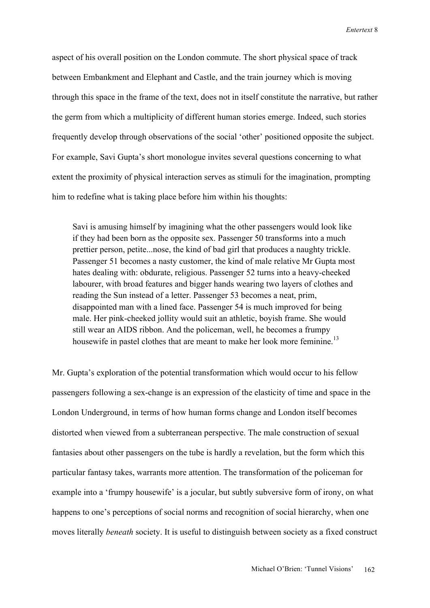aspect of his overall position on the London commute. The short physical space of track between Embankment and Elephant and Castle, and the train journey which is moving through this space in the frame of the text, does not in itself constitute the narrative, but rather the germ from which a multiplicity of different human stories emerge. Indeed, such stories frequently develop through observations of the social 'other' positioned opposite the subject. For example, Savi Gupta's short monologue invites several questions concerning to what extent the proximity of physical interaction serves as stimuli for the imagination, prompting him to redefine what is taking place before him within his thoughts:

Savi is amusing himself by imagining what the other passengers would look like if they had been born as the opposite sex. Passenger 50 transforms into a much prettier person, petite...nose, the kind of bad girl that produces a naughty trickle. Passenger 51 becomes a nasty customer, the kind of male relative Mr Gupta most hates dealing with: obdurate, religious. Passenger 52 turns into a heavy-cheeked labourer, with broad features and bigger hands wearing two layers of clothes and reading the Sun instead of a letter. Passenger 53 becomes a neat, prim, disappointed man with a lined face. Passenger 54 is much improved for being male. Her pink-cheeked jollity would suit an athletic, boyish frame. She would still wear an AIDS ribbon. And the policeman, well, he becomes a frumpy housewife in pastel clothes that are meant to make her look more feminine.<sup>13</sup>

Mr. Gupta's exploration of the potential transformation which would occur to his fellow passengers following a sex-change is an expression of the elasticity of time and space in the London Underground, in terms of how human forms change and London itself becomes distorted when viewed from a subterranean perspective. The male construction of sexual fantasies about other passengers on the tube is hardly a revelation, but the form which this particular fantasy takes, warrants more attention. The transformation of the policeman for example into a 'frumpy housewife' is a jocular, but subtly subversive form of irony, on what happens to one's perceptions of social norms and recognition of social hierarchy, when one moves literally *beneath* society. It is useful to distinguish between society as a fixed construct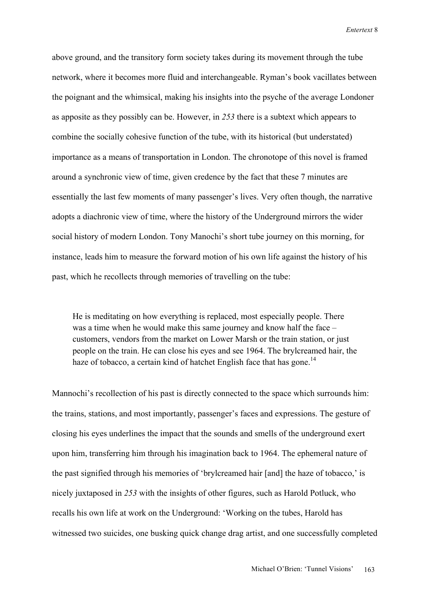above ground, and the transitory form society takes during its movement through the tube network, where it becomes more fluid and interchangeable. Ryman's book vacillates between the poignant and the whimsical, making his insights into the psyche of the average Londoner as apposite as they possibly can be. However, in *253* there is a subtext which appears to combine the socially cohesive function of the tube, with its historical (but understated) importance as a means of transportation in London. The chronotope of this novel is framed around a synchronic view of time, given credence by the fact that these 7 minutes are essentially the last few moments of many passenger's lives. Very often though, the narrative adopts a diachronic view of time, where the history of the Underground mirrors the wider social history of modern London. Tony Manochi's short tube journey on this morning, for instance, leads him to measure the forward motion of his own life against the history of his past, which he recollects through memories of travelling on the tube:

He is meditating on how everything is replaced, most especially people. There was a time when he would make this same journey and know half the face – customers, vendors from the market on Lower Marsh or the train station, or just people on the train. He can close his eyes and see 1964. The brylcreamed hair, the haze of tobacco, a certain kind of hatchet English face that has gone.<sup>14</sup>

Mannochi's recollection of his past is directly connected to the space which surrounds him: the trains, stations, and most importantly, passenger's faces and expressions. The gesture of closing his eyes underlines the impact that the sounds and smells of the underground exert upon him, transferring him through his imagination back to 1964. The ephemeral nature of the past signified through his memories of 'brylcreamed hair [and] the haze of tobacco,' is nicely juxtaposed in *253* with the insights of other figures, such as Harold Potluck, who recalls his own life at work on the Underground: 'Working on the tubes, Harold has witnessed two suicides, one busking quick change drag artist, and one successfully completed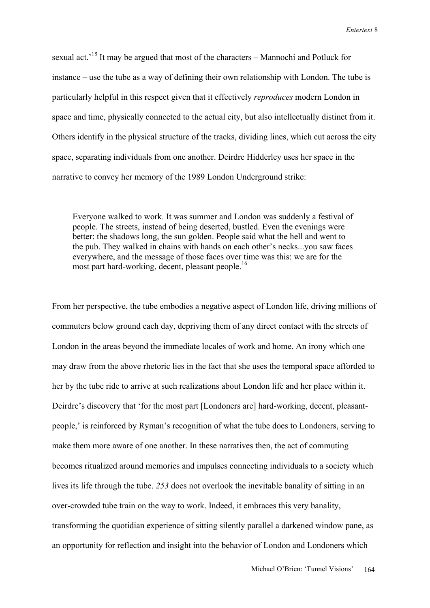sexual act.<sup>15</sup> It may be argued that most of the characters – Mannochi and Potluck for instance – use the tube as a way of defining their own relationship with London. The tube is particularly helpful in this respect given that it effectively *reproduces* modern London in space and time, physically connected to the actual city, but also intellectually distinct from it. Others identify in the physical structure of the tracks, dividing lines, which cut across the city space, separating individuals from one another. Deirdre Hidderley uses her space in the narrative to convey her memory of the 1989 London Underground strike:

Everyone walked to work. It was summer and London was suddenly a festival of people. The streets, instead of being deserted, bustled. Even the evenings were better: the shadows long, the sun golden. People said what the hell and went to the pub. They walked in chains with hands on each other's necks...you saw faces everywhere, and the message of those faces over time was this: we are for the most part hard-working, decent, pleasant people.<sup>16</sup>

From her perspective, the tube embodies a negative aspect of London life, driving millions of commuters below ground each day, depriving them of any direct contact with the streets of London in the areas beyond the immediate locales of work and home. An irony which one may draw from the above rhetoric lies in the fact that she uses the temporal space afforded to her by the tube ride to arrive at such realizations about London life and her place within it. Deirdre's discovery that 'for the most part [Londoners are] hard-working, decent, pleasantpeople,' is reinforced by Ryman's recognition of what the tube does to Londoners, serving to make them more aware of one another. In these narratives then, the act of commuting becomes ritualized around memories and impulses connecting individuals to a society which lives its life through the tube. *253* does not overlook the inevitable banality of sitting in an over-crowded tube train on the way to work. Indeed, it embraces this very banality, transforming the quotidian experience of sitting silently parallel a darkened window pane, as an opportunity for reflection and insight into the behavior of London and Londoners which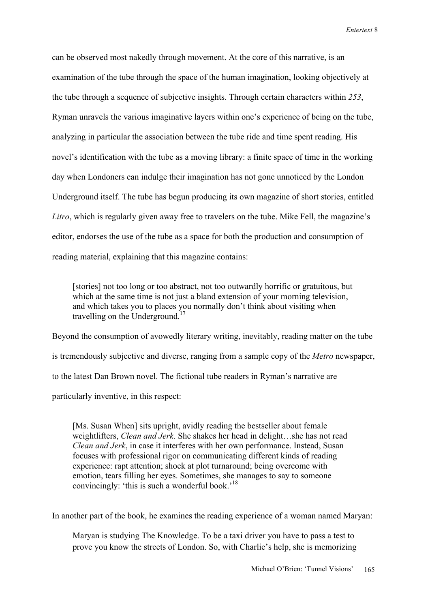can be observed most nakedly through movement. At the core of this narrative, is an examination of the tube through the space of the human imagination, looking objectively at the tube through a sequence of subjective insights. Through certain characters within *253*, Ryman unravels the various imaginative layers within one's experience of being on the tube, analyzing in particular the association between the tube ride and time spent reading. His novel's identification with the tube as a moving library: a finite space of time in the working day when Londoners can indulge their imagination has not gone unnoticed by the London Underground itself. The tube has begun producing its own magazine of short stories, entitled *Litro*, which is regularly given away free to travelers on the tube. Mike Fell, the magazine's editor, endorses the use of the tube as a space for both the production and consumption of reading material, explaining that this magazine contains:

[stories] not too long or too abstract, not too outwardly horrific or gratuitous, but which at the same time is not just a bland extension of your morning television, and which takes you to places you normally don't think about visiting when travelling on the Underground.<sup>17</sup>

Beyond the consumption of avowedly literary writing, inevitably, reading matter on the tube is tremendously subjective and diverse, ranging from a sample copy of the *Metro* newspaper, to the latest Dan Brown novel. The fictional tube readers in Ryman's narrative are particularly inventive, in this respect:

[Ms. Susan When] sits upright, avidly reading the bestseller about female weightlifters, *Clean and Jerk*. She shakes her head in delight…she has not read *Clean and Jerk*, in case it interferes with her own performance. Instead, Susan focuses with professional rigor on communicating different kinds of reading experience: rapt attention; shock at plot turnaround; being overcome with emotion, tears filling her eyes. Sometimes, she manages to say to someone convincingly: 'this is such a wonderful book.'<sup>18</sup>

In another part of the book, he examines the reading experience of a woman named Maryan:

Maryan is studying The Knowledge. To be a taxi driver you have to pass a test to prove you know the streets of London. So, with Charlie's help, she is memorizing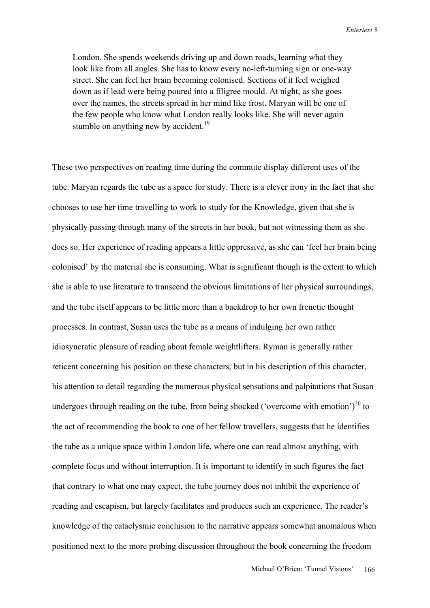London. She spends weekends driving up and down roads, learning what they look like from all angles. She has to know every no-left-turning sign or one-way street. She can feel her brain becoming colonised. Sections of it feel weighed down as if lead were being poured into a filigree mould. At night, as she goes over the names, the streets spread in her mind like frost. Maryan will be one of the few people who know what London really looks like. She will never again stumble on anything new by accident.<sup>19</sup>

These two perspectives on reading time during the commute display different uses of the tube. Maryan regards the tube as a space for study. There is a clever irony in the fact that she chooses to use her time travelling to work to study for the Knowledge, given that she is physically passing through many of the streets in her book, but not witnessing them as she does so. Her experience of reading appears a little oppressive, as she can 'feel her brain being colonised' by the material she is consuming. What is significant though is the extent to which she is able to use literature to transcend the obvious limitations of her physical surroundings, and the tube itself appears to be little more than a backdrop to her own frenetic thought processes. In contrast, Susan uses the tube as a means of indulging her own rather idiosyncratic pleasure of reading about female weightlifters. Ryman is generally rather reticent concerning his position on these characters, but in his description of this character, his attention to detail regarding the numerous physical sensations and palpitations that Susan undergoes through reading on the tube, from being shocked ('overcome with emotion')<sup>20</sup> to the act of recommending the book to one of her fellow travellers, suggests that he identifies the tube as a unique space within London life, where one can read almost anything, with complete focus and without interruption. It is important to identify in such figures the fact that contrary to what one may expect, the tube journey does not inhibit the experience of reading and escapism, but largely facilitates and produces such an experience. The reader's knowledge of the cataclysmic conclusion to the narrative appears somewhat anomalous when positioned next to the more probing discussion throughout the book concerning the freedom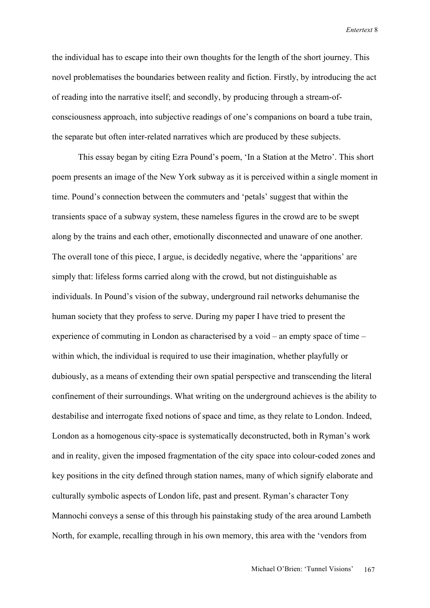the individual has to escape into their own thoughts for the length of the short journey. This novel problematises the boundaries between reality and fiction. Firstly, by introducing the act of reading into the narrative itself; and secondly, by producing through a stream-ofconsciousness approach, into subjective readings of one's companions on board a tube train, the separate but often inter-related narratives which are produced by these subjects.

This essay began by citing Ezra Pound's poem, 'In a Station at the Metro'. This short poem presents an image of the New York subway as it is perceived within a single moment in time. Pound's connection between the commuters and 'petals' suggest that within the transients space of a subway system, these nameless figures in the crowd are to be swept along by the trains and each other, emotionally disconnected and unaware of one another. The overall tone of this piece, I argue, is decidedly negative, where the 'apparitions' are simply that: lifeless forms carried along with the crowd, but not distinguishable as individuals. In Pound's vision of the subway, underground rail networks dehumanise the human society that they profess to serve. During my paper I have tried to present the experience of commuting in London as characterised by a void – an empty space of time – within which, the individual is required to use their imagination, whether playfully or dubiously, as a means of extending their own spatial perspective and transcending the literal confinement of their surroundings. What writing on the underground achieves is the ability to destabilise and interrogate fixed notions of space and time, as they relate to London. Indeed, London as a homogenous city-space is systematically deconstructed, both in Ryman's work and in reality, given the imposed fragmentation of the city space into colour-coded zones and key positions in the city defined through station names, many of which signify elaborate and culturally symbolic aspects of London life, past and present. Ryman's character Tony Mannochi conveys a sense of this through his painstaking study of the area around Lambeth North, for example, recalling through in his own memory, this area with the 'vendors from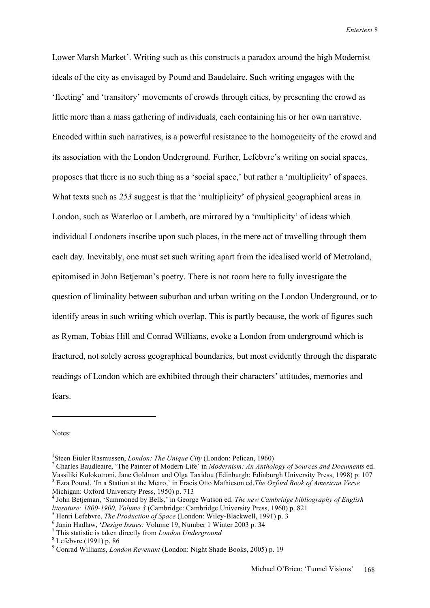Lower Marsh Market'. Writing such as this constructs a paradox around the high Modernist ideals of the city as envisaged by Pound and Baudelaire. Such writing engages with the 'fleeting' and 'transitory' movements of crowds through cities, by presenting the crowd as little more than a mass gathering of individuals, each containing his or her own narrative. Encoded within such narratives, is a powerful resistance to the homogeneity of the crowd and its association with the London Underground. Further, Lefebvre's writing on social spaces, proposes that there is no such thing as a 'social space,' but rather a 'multiplicity' of spaces. What texts such as *253* suggest is that the 'multiplicity' of physical geographical areas in London, such as Waterloo or Lambeth, are mirrored by a 'multiplicity' of ideas which individual Londoners inscribe upon such places, in the mere act of travelling through them each day. Inevitably, one must set such writing apart from the idealised world of Metroland, epitomised in John Betjeman's poetry. There is not room here to fully investigate the question of liminality between suburban and urban writing on the London Underground, or to identify areas in such writing which overlap. This is partly because, the work of figures such as Ryman, Tobias Hill and Conrad Williams, evoke a London from underground which is fractured, not solely across geographical boundaries, but most evidently through the disparate readings of London which are exhibited through their characters' attitudes, memories and fears.

Notes:

<sup>&</sup>lt;sup>1</sup>Steen Eiuler Rasmussen, *London: The Unique City* (London: Pelican, 1960)

<sup>&</sup>lt;sup>1</sup>Steen Eiuler Rasmussen, *London: The Unique City* (London: Pelican, 1960)<br><sup>2</sup> Charles Baudleaire, 'The Painter of Modern Life' in *Modernism: An Anthology of Sources and Documents* ed. Vassiliki Kolokotroni, Jane Goldman and Olga Taxidou (Edinburgh: Edinburgh University Press, 1998) p. 107 <sup>3</sup> Ezra Pound, 'In a Station at the Metro,' in Fracis Otto Mathieson ed.*The Oxford Book of American Verse* 

Michigan: Oxford University Press, 1950) p. 713

<sup>4</sup> John Betjeman, 'Summoned by Bells,' in George Watson ed. *The new Cambridge bibliography of English literature: 1800-1900, Volume 3* (Cambridge: Cambridge University Press, 1960) p. 821 <sup>5</sup>

<sup>&</sup>lt;sup>5</sup> Henri Lefebvre, *The Production of Space* (London: Wiley-Blackwell, 1991) p. 3

Janin Hadlaw, '*Design Issues:* Volume 19, Number 1 Winter 2003 p. 34 <sup>7</sup>

This statistic is taken directly from *London Underground* <sup>8</sup>

Lefebvre (1991) p. 86

<sup>9</sup> Conrad Williams, *London Revenant* (London: Night Shade Books, 2005) p. 19